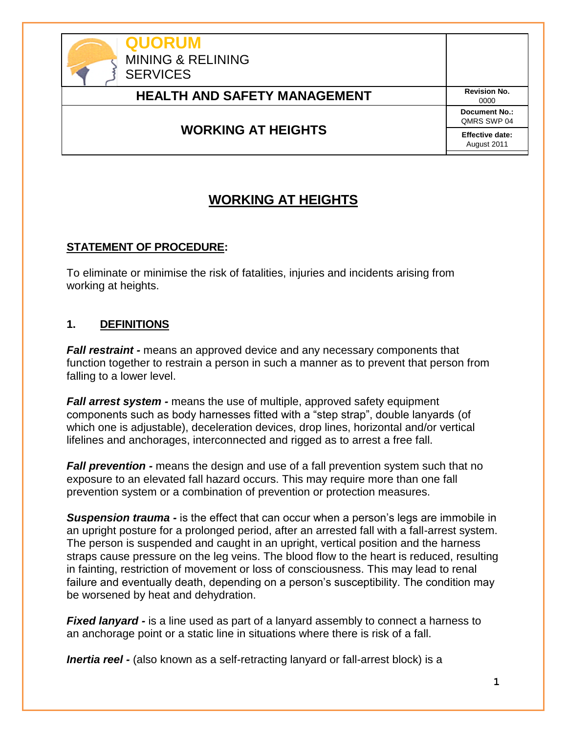

## **WORKING AT HEIGHTS**

### **STATEMENT OF PROCEDURE:**

To eliminate or minimise the risk of fatalities, injuries and incidents arising from working at heights.

### **1. DEFINITIONS**

*Fall restraint -* means an approved device and any necessary components that function together to restrain a person in such a manner as to prevent that person from falling to a lower level.

*Fall arrest system -* means the use of multiple, approved safety equipment components such as body harnesses fitted with a "step strap", double lanyards (of which one is adjustable), deceleration devices, drop lines, horizontal and/or vertical lifelines and anchorages, interconnected and rigged as to arrest a free fall.

*Fall prevention -* means the design and use of a fall prevention system such that no exposure to an elevated fall hazard occurs. This may require more than one fall prevention system or a combination of prevention or protection measures.

*Suspension trauma -* is the effect that can occur when a person's legs are immobile in an upright posture for a prolonged period, after an arrested fall with a fall-arrest system. The person is suspended and caught in an upright, vertical position and the harness straps cause pressure on the leg veins. The blood flow to the heart is reduced, resulting in fainting, restriction of movement or loss of consciousness. This may lead to renal failure and eventually death, depending on a person's susceptibility. The condition may be worsened by heat and dehydration.

*Fixed lanyard -* is a line used as part of a lanyard assembly to connect a harness to an anchorage point or a static line in situations where there is risk of a fall.

*Inertia reel -* (also known as a self-retracting lanyard or fall-arrest block) is a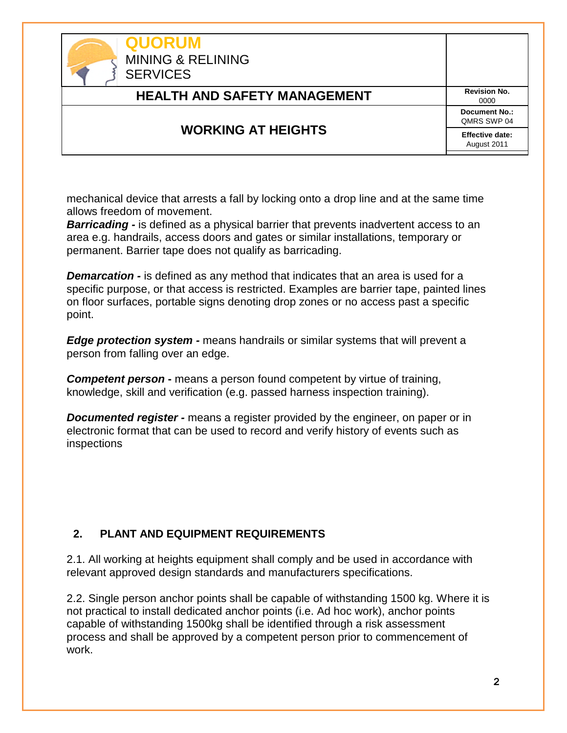| <b>QUORUM</b><br><b>MINING &amp; RELINING</b><br><b>SERVICES</b> |                                     |
|------------------------------------------------------------------|-------------------------------------|
| <b>HEALTH AND SAFETY MANAGEMENT</b>                              | <b>Revision No.</b><br>0000         |
| <b>WORKING AT HEIGHTS</b>                                        | <b>Document No.:</b><br>QMRS SWP 04 |
|                                                                  | Effective date:<br>August 2011      |

mechanical device that arrests a fall by locking onto a drop line and at the same time allows freedom of movement.

**Barricading -** is defined as a physical barrier that prevents inadvertent access to an area e.g. handrails, access doors and gates or similar installations, temporary or permanent. Barrier tape does not qualify as barricading.

*Demarcation -* is defined as any method that indicates that an area is used for a specific purpose, or that access is restricted. Examples are barrier tape, painted lines on floor surfaces, portable signs denoting drop zones or no access past a specific point.

*Edge protection system -* means handrails or similar systems that will prevent a person from falling over an edge.

**Competent person -** means a person found competent by virtue of training, knowledge, skill and verification (e.g. passed harness inspection training).

*Documented register -* means a register provided by the engineer, on paper or in electronic format that can be used to record and verify history of events such as inspections

### **2. PLANT AND EQUIPMENT REQUIREMENTS**

2.1. All working at heights equipment shall comply and be used in accordance with relevant approved design standards and manufacturers specifications.

2.2. Single person anchor points shall be capable of withstanding 1500 kg. Where it is not practical to install dedicated anchor points (i.e. Ad hoc work), anchor points capable of withstanding 1500kg shall be identified through a risk assessment process and shall be approved by a competent person prior to commencement of work.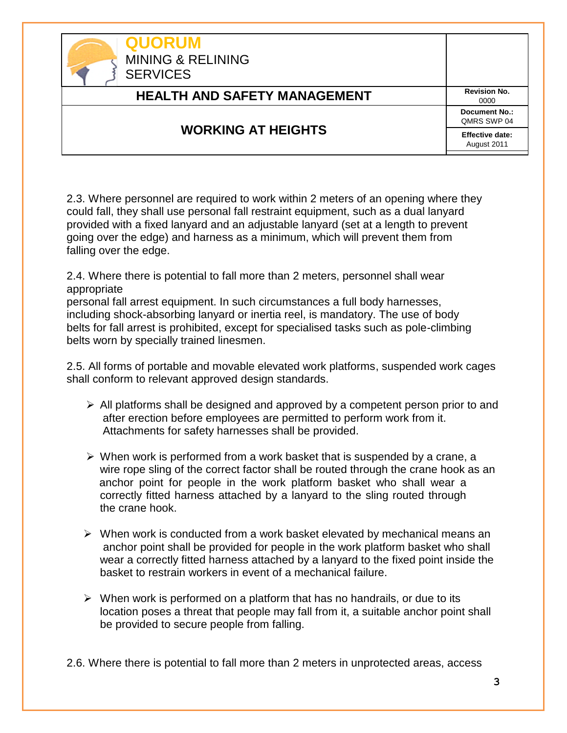| <b>QUORUM</b><br><b>MINING &amp; RELINING</b><br><b>SERVICES</b> |                                     |
|------------------------------------------------------------------|-------------------------------------|
| <b>HEALTH AND SAFETY MANAGEMENT</b>                              | <b>Revision No.</b><br>0000         |
| <b>WORKING AT HEIGHTS</b>                                        | <b>Document No.:</b><br>QMRS SWP 04 |
|                                                                  | Effective date:<br>August 2011      |

2.3. Where personnel are required to work within 2 meters of an opening where they could fall, they shall use personal fall restraint equipment, such as a dual lanyard provided with a fixed lanyard and an adjustable lanyard (set at a length to prevent going over the edge) and harness as a minimum, which will prevent them from falling over the edge.

2.4. Where there is potential to fall more than 2 meters, personnel shall wear appropriate

personal fall arrest equipment. In such circumstances a full body harnesses, including shock-absorbing lanyard or inertia reel, is mandatory. The use of body belts for fall arrest is prohibited, except for specialised tasks such as pole-climbing belts worn by specially trained linesmen.

2.5. All forms of portable and movable elevated work platforms, suspended work cages shall conform to relevant approved design standards.

- $\triangleright$  All platforms shall be designed and approved by a competent person prior to and after erection before employees are permitted to perform work from it. Attachments for safety harnesses shall be provided.
- $\triangleright$  When work is performed from a work basket that is suspended by a crane, a wire rope sling of the correct factor shall be routed through the crane hook as an anchor point for people in the work platform basket who shall wear a correctly fitted harness attached by a lanyard to the sling routed through the crane hook.
- $\triangleright$  When work is conducted from a work basket elevated by mechanical means an anchor point shall be provided for people in the work platform basket who shall wear a correctly fitted harness attached by a lanyard to the fixed point inside the basket to restrain workers in event of a mechanical failure.
- $\triangleright$  When work is performed on a platform that has no handrails, or due to its location poses a threat that people may fall from it, a suitable anchor point shall be provided to secure people from falling.

2.6. Where there is potential to fall more than 2 meters in unprotected areas, access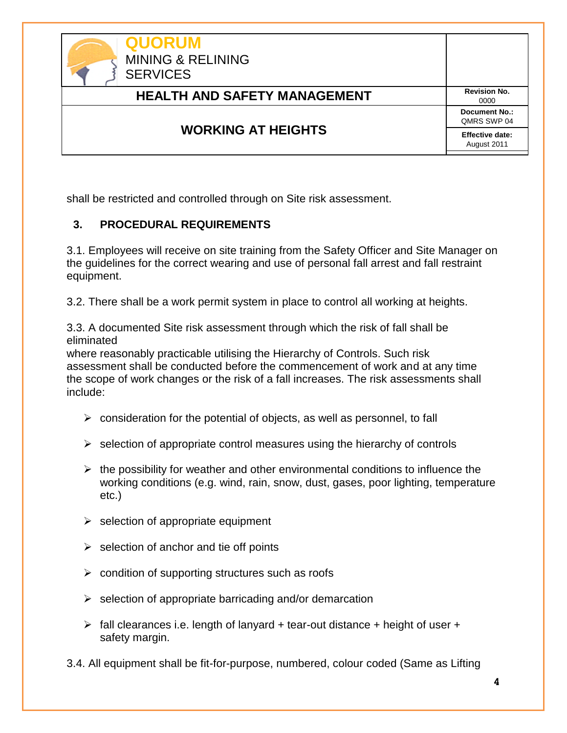| <b>QUORUM</b><br><b>MINING &amp; RELINING</b><br><b>SERVICES</b> |                                       |
|------------------------------------------------------------------|---------------------------------------|
| <b>HEALTH AND SAFETY MANAGEMENT</b>                              | <b>Revision No.</b><br>0000           |
| <b>WORKING AT HEIGHTS</b>                                        | <b>Document No.:</b><br>QMRS SWP 04   |
|                                                                  | <b>Effective date:</b><br>August 2011 |

shall be restricted and controlled through on Site risk assessment.

## **3. PROCEDURAL REQUIREMENTS**

3.1. Employees will receive on site training from the Safety Officer and Site Manager on the guidelines for the correct wearing and use of personal fall arrest and fall restraint equipment.

3.2. There shall be a work permit system in place to control all working at heights.

3.3. A documented Site risk assessment through which the risk of fall shall be eliminated

where reasonably practicable utilising the Hierarchy of Controls. Such risk assessment shall be conducted before the commencement of work and at any time the scope of work changes or the risk of a fall increases. The risk assessments shall include:

- $\triangleright$  consideration for the potential of objects, as well as personnel, to fall
- $\triangleright$  selection of appropriate control measures using the hierarchy of controls
- $\triangleright$  the possibility for weather and other environmental conditions to influence the working conditions (e.g. wind, rain, snow, dust, gases, poor lighting, temperature etc.)
- $\triangleright$  selection of appropriate equipment
- $\triangleright$  selection of anchor and tie off points
- $\triangleright$  condition of supporting structures such as roofs
- $\triangleright$  selection of appropriate barricading and/or demarcation
- $\triangleright$  fall clearances i.e. length of lanyard + tear-out distance + height of user + safety margin.

3.4. All equipment shall be fit-for-purpose, numbered, colour coded (Same as Lifting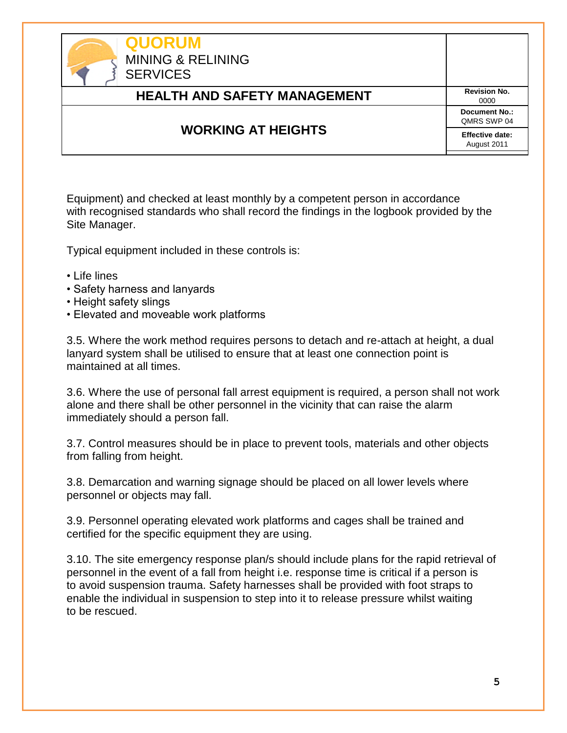| <b>QUORUM</b><br><b>MINING &amp; RELINING</b><br><b>SERVICES</b> |                                     |
|------------------------------------------------------------------|-------------------------------------|
| <b>HEALTH AND SAFETY MANAGEMENT</b>                              | <b>Revision No.</b><br>0000         |
| <b>WORKING AT HEIGHTS</b>                                        | <b>Document No.:</b><br>QMRS SWP 04 |
|                                                                  | Effective date:<br>August 2011      |

Equipment) and checked at least monthly by a competent person in accordance with recognised standards who shall record the findings in the logbook provided by the Site Manager.

Typical equipment included in these controls is:

- Life lines
- Safety harness and lanyards
- Height safety slings
- Elevated and moveable work platforms

3.5. Where the work method requires persons to detach and re-attach at height, a dual lanyard system shall be utilised to ensure that at least one connection point is maintained at all times.

3.6. Where the use of personal fall arrest equipment is required, a person shall not work alone and there shall be other personnel in the vicinity that can raise the alarm immediately should a person fall.

3.7. Control measures should be in place to prevent tools, materials and other objects from falling from height.

3.8. Demarcation and warning signage should be placed on all lower levels where personnel or objects may fall.

3.9. Personnel operating elevated work platforms and cages shall be trained and certified for the specific equipment they are using.

3.10. The site emergency response plan/s should include plans for the rapid retrieval of personnel in the event of a fall from height i.e. response time is critical if a person is to avoid suspension trauma. Safety harnesses shall be provided with foot straps to enable the individual in suspension to step into it to release pressure whilst waiting to be rescued.